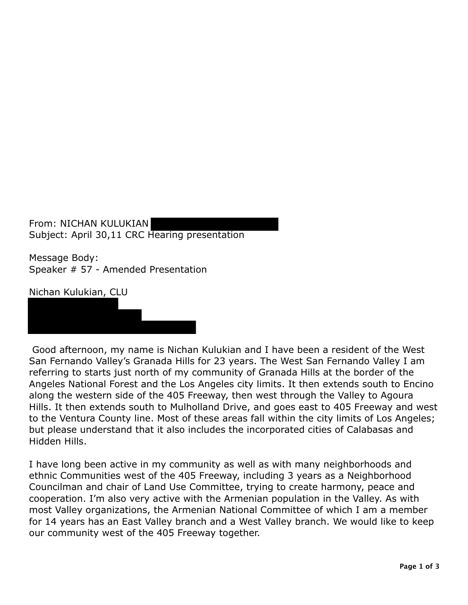From: NICHAN KULUKIAN Subject: April 30,11 CRC Hearing presentation

Message Body: Speaker # 57 - Amended Presentation

Nichan Kulukian, CLU

Good afternoon, my name is Nichan Kulukian and I have been a resident of the West San Fernando Valley's Granada Hills for 23 years. The West San Fernando Valley I am referring to starts just north of my community of Granada Hills at the border of the Angeles National Forest and the Los Angeles city limits. It then extends south to Encino along the western side of the 405 Freeway, then west through the Valley to Agoura Hills. It then extends south to Mulholland Drive, and goes east to 405 Freeway and west to the Ventura County line. Most of these areas fall within the city limits of Los Angeles; but please understand that it also includes the incorporated cities of Calabasas and Hidden Hills.

I have long been active in my community as well as with many neighborhoods and ethnic Communities west of the 405 Freeway, including 3 years as a Neighborhood Councilman and chair of Land Use Committee, trying to create harmony, peace and cooperation. I'm also very active with the Armenian population in the Valley. As with most Valley organizations, the Armenian National Committee of which I am a member for 14 years has an East Valley branch and a West Valley branch. We would like to keep our community west of the 405 Freeway together.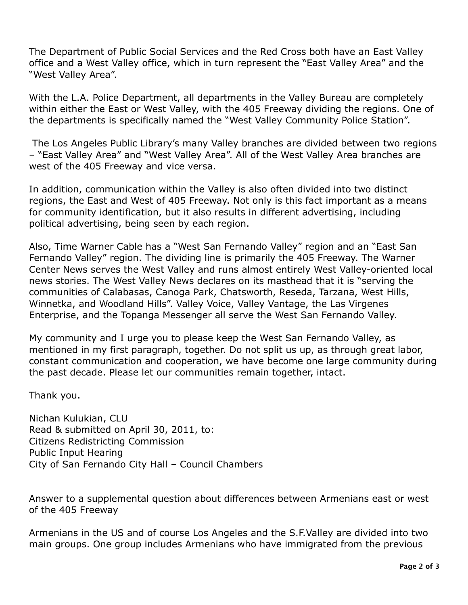The Department of Public Social Services and the Red Cross both have an East Valley office and a West Valley office, which in turn represent the "East Valley Area" and the "West Valley Area".

 With the L.A. Police Department, all departments in the Valley Bureau are completely within either the East or West Valley, with the 405 Freeway dividing the regions. One of the departments is specifically named the "West Valley Community Police Station".

 The Los Angeles Public Library's many Valley branches are divided between two regions – "East Valley Area" and "West Valley Area". All of the West Valley Area branches are west of the 405 Freeway and vice versa.

 In addition, communication within the Valley is also often divided into two distinct regions, the East and West of 405 Freeway. Not only is this fact important as a means for community identification, but it also results in different advertising, including political advertising, being seen by each region.

 Also, Time Warner Cable has a "West San Fernando Valley" region and an "East San Fernando Valley" region. The dividing line is primarily the 405 Freeway. The Warner news stories. The West Valley News declares on its masthead that it is "serving the communities of Calabasas, Canoga Park, Chatsworth, Reseda, Tarzana, West Hills, Winnetka, and Woodland Hills". Valley Voice, Valley Vantage, the Las Virgenes Enterprise, and the Topanga Messenger all serve the West San Fernando Valley. Center News serves the West Valley and runs almost entirely West Valley-oriented local

 My community and I urge you to please keep the West San Fernando Valley, as mentioned in my first paragraph, together. Do not split us up, as through great labor, constant communication and cooperation, we have become one large community during the past decade. Please let our communities remain together, intact.

Thank you.

 Nichan Kulukian, CLU Read & submitted on April 30, 2011, to: City of San Fernando City Hall – Council Chambers Citizens Redistricting Commission Public Input Hearing

 Answer to a supplemental question about differences between Armenians east or west of the 405 Freeway

 Armenians in the US and of course Los Angeles and the S.F.Valley are divided into two main groups. One group includes Armenians who have immigrated from the previous